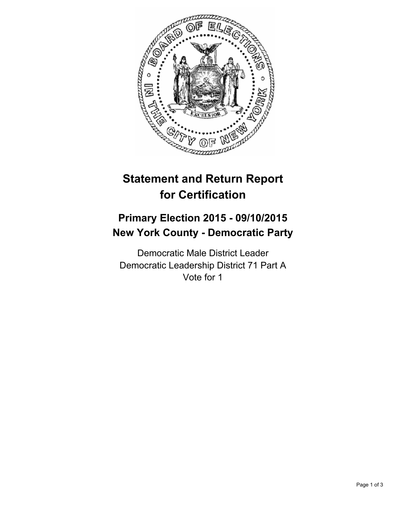

# **Statement and Return Report for Certification**

## **Primary Election 2015 - 09/10/2015 New York County - Democratic Party**

Democratic Male District Leader Democratic Leadership District 71 Part A Vote for 1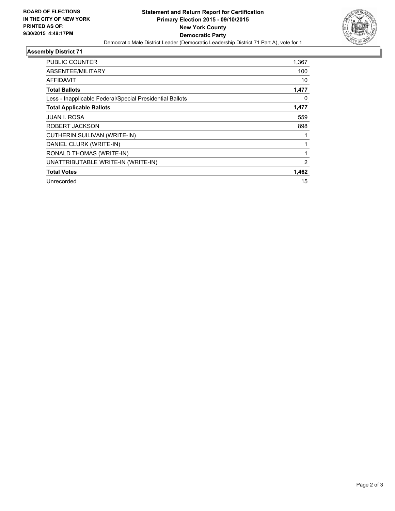

## **Assembly District 71**

| <b>PUBLIC COUNTER</b>                                    | 1,367 |
|----------------------------------------------------------|-------|
| ABSENTEE/MILITARY                                        | 100   |
| AFFIDAVIT                                                | 10    |
| <b>Total Ballots</b>                                     | 1,477 |
| Less - Inapplicable Federal/Special Presidential Ballots | 0     |
| <b>Total Applicable Ballots</b>                          | 1,477 |
| JUAN I. ROSA                                             | 559   |
| ROBERT JACKSON                                           | 898   |
| CUTHERIN SUILIVAN (WRITE-IN)                             |       |
| DANIEL CLURK (WRITE-IN)                                  |       |
| RONALD THOMAS (WRITE-IN)                                 |       |
| UNATTRIBUTABLE WRITE-IN (WRITE-IN)                       | 2     |
| <b>Total Votes</b>                                       | 1,462 |
| Unrecorded                                               | 15    |